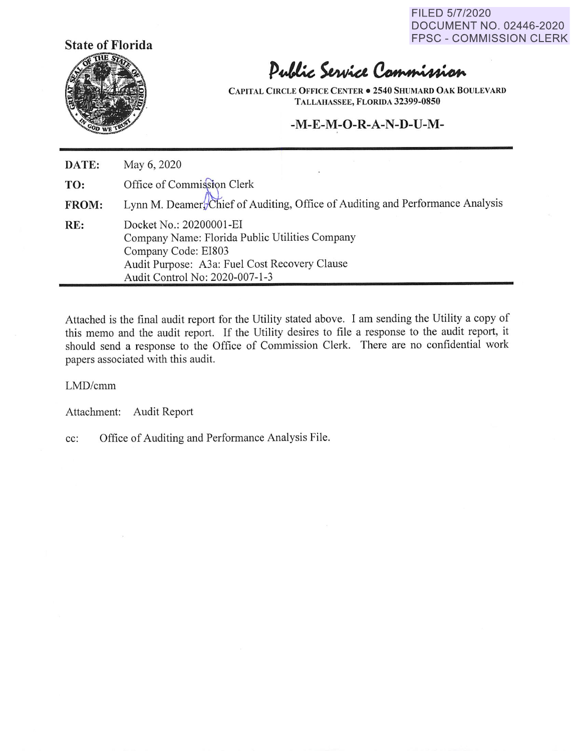FILED 5/7/2020 DOCUMENT NO. 02446-2020 FPSC - COMMISSION CLERK



# Public Service Commission

**CAPITAL CIRCLE OFFICE CENTER** • **2540 SHUMARD OAK BOULEVARD TALLAHASSEE, FLORIDA 32399-0850** 

#### **-M-E-M-O-R-A-N-D-U-M-**

| DATE: | May 6, 2020                                                                                                                                                                         |
|-------|-------------------------------------------------------------------------------------------------------------------------------------------------------------------------------------|
| TO:   | Office of Commission Clerk                                                                                                                                                          |
| FROM: | Lynn M. Deamer, Chief of Auditing, Office of Auditing and Performance Analysis                                                                                                      |
| RE:   | Docket No.: 20200001-EI<br>Company Name: Florida Public Utilities Company<br>Company Code: EI803<br>Audit Purpose: A3a: Fuel Cost Recovery Clause<br>Audit Control No: 2020-007-1-3 |

Attached is the final audit report for the Utility stated above. I am sending the Utility a copy of this memo and the audit report. If the Utility desires to file a response to the audit report, it should send a response to the Office of Commission Clerk. There are no confidential work papers associated with this audit.

#### LMD/cmm

Attachment: Audit Report

cc: Office of Auditing and Performance Analysis File.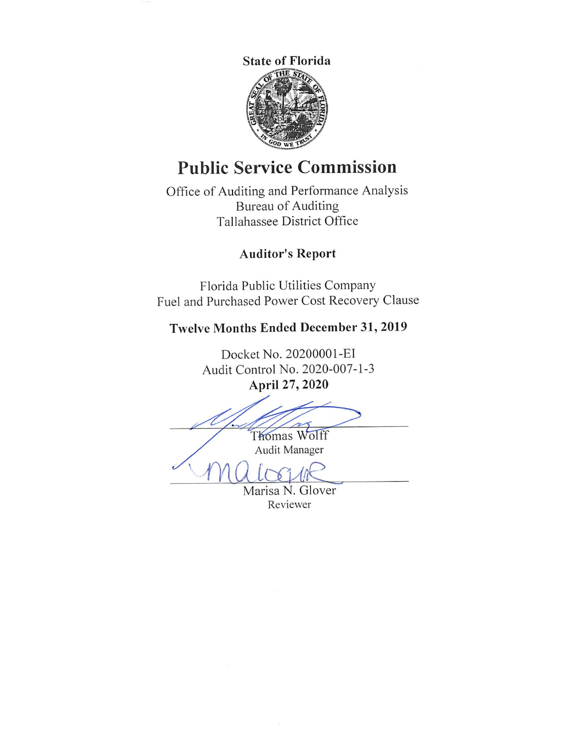

# **Public Service Commission**

Office of Auditing and Performance Analysis Bureau of Auditing Tallahassee District Office

## **Auditor's Report**

Florida Public Utilities Company Fuel and Purchased Power Cost Recovery Clause

## **Twelve Months Ended December 31, 2019**

Docket No. 20200001 -EI Audit Control No. 2020-007-1-3 **April 27, 2020** 

Thomas Wolff Audit Manager

Marisa N. Glover Reviewer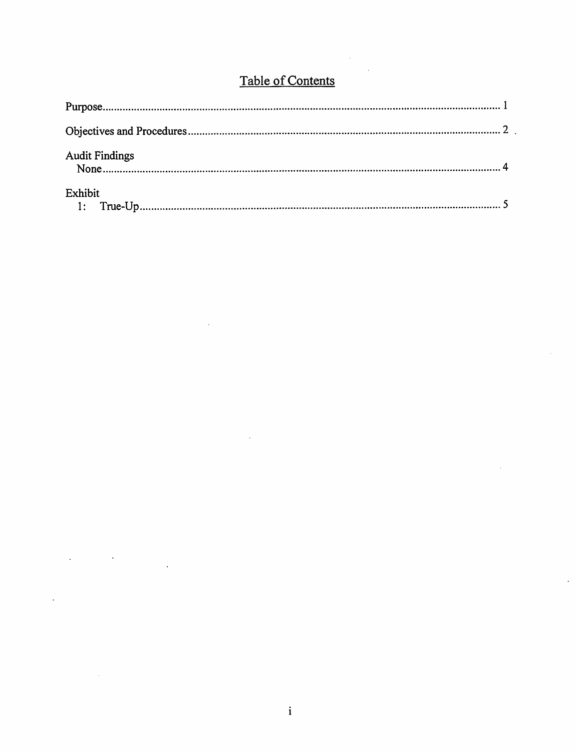# Table of Contents

| <b>Audit Findings</b> |  |
|-----------------------|--|
| Exhibit               |  |

 $\ddot{\phantom{1}}$ 

 $\mathcal{L}$ 

 $\overline{a}$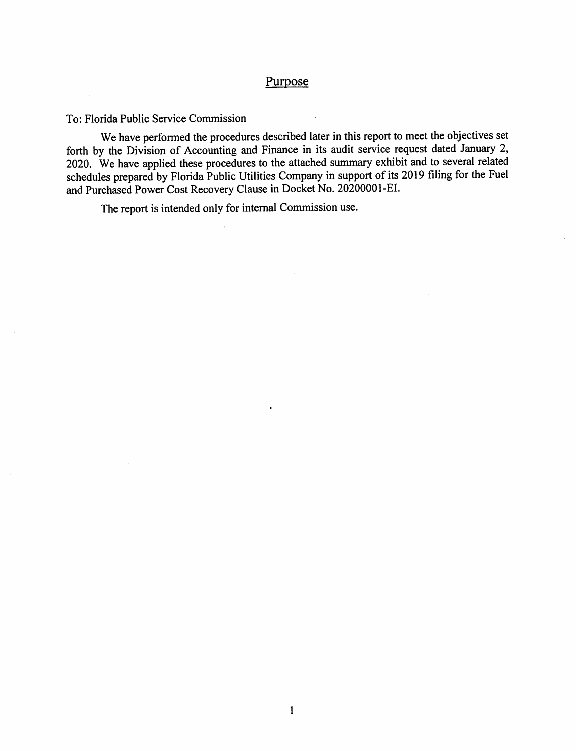#### Purpose

To: Florida Public Service Commission

We have performed the procedures described later in this report to meet the objectives set forth by the Division of Accounting and Finance in its audit service request dated January 2, 2020. We have applied these procedures to the attached summary exhibit and to several related schedules prepared by Florida Public Utilities Company in support of its 2019 filing for the Fuel and Purchased Power Cost Recovery Clause in Docket No. 20200001-EI.

The report is intended only for internal Commission use.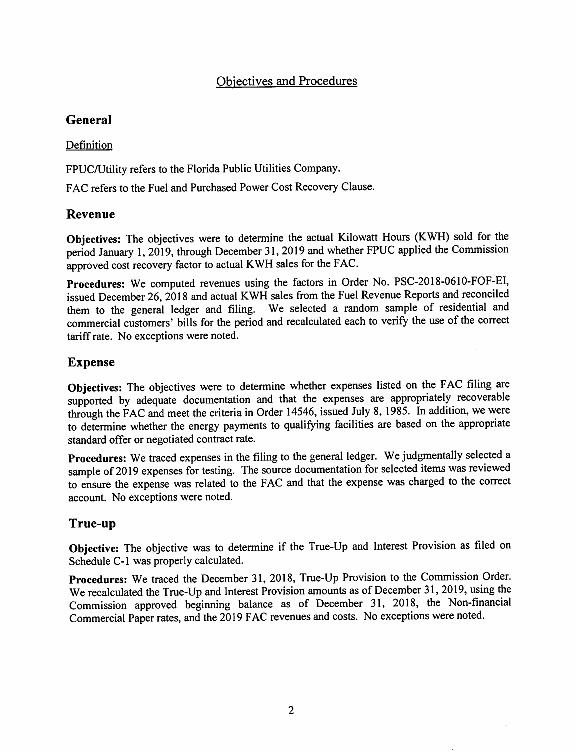## Objectives and Procedures

## **General**

#### Definition

FPUC/Utility refers to the Florida Public Utilities Company.

FAC refers to the Fuel and Purchased Power Cost Recovery Clause.

## **Revenue**

**Objectives:** The objectives were to determine the actual Kilowatt Hours (KWH) sold for the period January 1, 2019, through December 31, 2019 and whether FPUC applied the Commission approved cost recovery factor to actual KWH sales for the FAC.

**Procedures:** We computed revenues using the factors in Order No. PSC-2018-0610-FOF-EI, issued December 26, 2018 and actual KWH sales from the Fuel Revenue Reports and reconciled them to the general ledger and filing. We selected a random sample of residential and commercial customers' bills for the period and recalculated each to verify the use of the correct tariff rate. No exceptions were noted.

## **Expense**

Objectives: The objectives were to determine whether expenses listed on the FAC filing are supported by adequate documentation and that the expenses are appropriately recoverable through the FAC and meet the criteria in Order 14546, issued July 8, 1985. In addition, we were to determine whether the energy payments to qualifying facilities are based on the appropriate standard offer or negotiated contract rate.

**Procedures:** We traced expenses in the filing to the general ledger. We judgmentally selected a sample of 2019 expenses for testing. The source documentation for selected items was reviewed to ensure the expense was related to the FAC and that the expense was charged to the correct account. No exceptions were noted.

#### **True-up**

**Objective:** The objective was to determine if the True-Up and Interest Provision as filed on Schedule C-1 was properly calculated.

**Procedures:** We traced the December 31, 2018, True-Up Provision to the Commission Order. We recalculated the True-Up and Interest Provision amounts as of December 31, 2019, using the Commission approved beginning balance as of December 31, 2018, the Non-financial Commercial Paper rates, and the 2019 FAC revenues and costs. No exceptions were noted.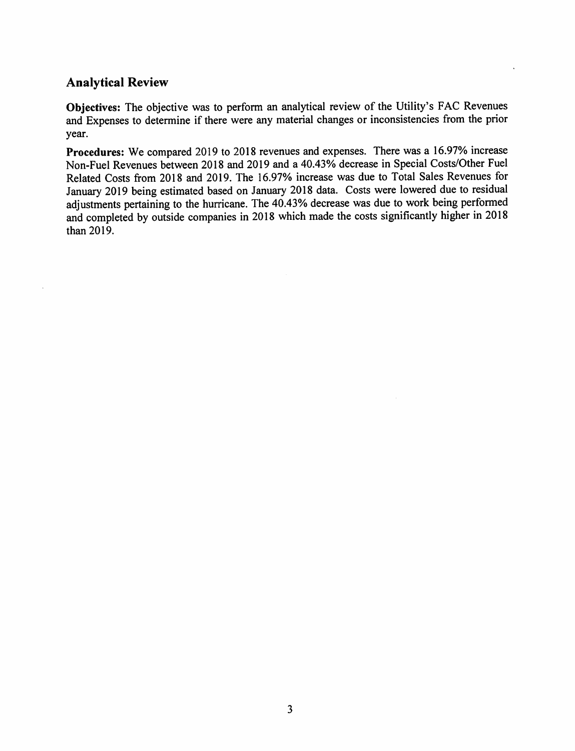#### **Analytical Review**

**Objectives:** The objective was to perform an analytical review of the Utility's FAC Revenues and Expenses to determine if there were any material changes or inconsistencies from the prior year.

**Procedures:** We compared 2019 to 2018 revenues and expenses. There was a 16.97% increase Non-Fuel Revenues between 2018 and 2019 and a 40.43% decrease in Special Costs/Other Fuel Related Costs from 2018 and 2019. The 16.97% increase was due to Total Sales Revenues for January 2019 being estimated based on January 2018 data. Costs were lowered due to residual adjustments pertaining to the hurricane. The 40.43% decrease was due to work being performed and completed by outside companies in 2018 which made the costs significantly higher in 2018 than 2019.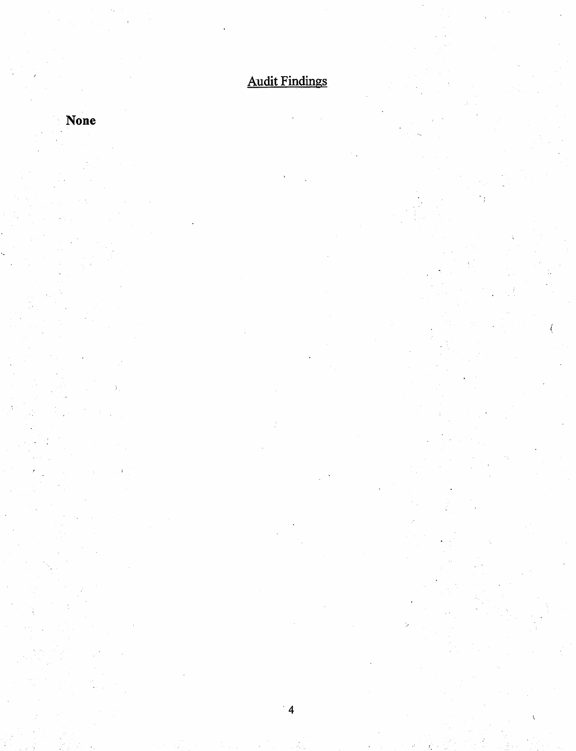Audit Findings

 $\overline{4}$ 

**None**